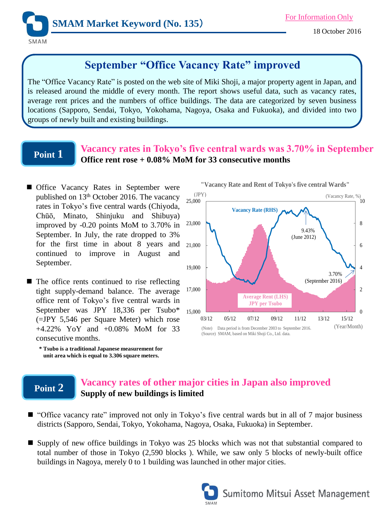

# **September "Office Vacancy Rate" improved**

The "Office Vacancy Rate" is posted on the web site of Miki Shoji, a major property agent in Japan, and is released around the middle of every month. The report shows useful data, such as vacancy rates, average rent prices and the numbers of office buildings. The data are categorized by seven business locations (Sapporo, Sendai, Tokyo, Yokohama, Nagoya, Osaka and Fukuoka), and divided into two groups of newly built and existing buildings.

### **Point 1**

### **Vacancy rates in Tokyo's five central wards was 3.70% in September Office rent rose + 0.08% MoM for 33 consecutive months**

- **Office Vacancy Rates in September were** published on 13<sup>th</sup> October 2016. The vacancy rates in Tokyo's five central wards (Chiyoda, Chūō, Minato, Shinjuku and Shibuya) improved by -0.20 points MoM to 3.70% in September. In July, the rate dropped to 3% for the first time in about 8 years and continued to improve in August and September.
- $\blacksquare$  The office rents continued to rise reflecting tight supply-demand balance. The average office rent of Tokyo's five central wards in September was JPY 18,336 per Tsubo\* (=JPY 5,546 per Square Meter) which rose +4.22% YoY and +0.08% MoM for 33 consecutive months.
	- **\* Tsubo is a traditional Japanese measurement for unit area which is equal to 3.306 square meters.**



(Source) SMAM, based on Miki Shoji Co., Ltd. data.

## **Point 2**

### **Vacancy rates of other major cities in Japan also improved Supply of new buildings is limited**

- "Office vacancy rate" improved not only in Tokyo's five central wards but in all of 7 major business districts (Sapporo, Sendai, Tokyo, Yokohama, Nagoya, Osaka, Fukuoka) in September.
- Supply of new office buildings in Tokyo was 25 blocks which was not that substantial compared to total number of those in Tokyo (2,590 blocks ). While, we saw only 5 blocks of newly-built office buildings in Nagoya, merely 0 to 1 building was launched in other major cities.